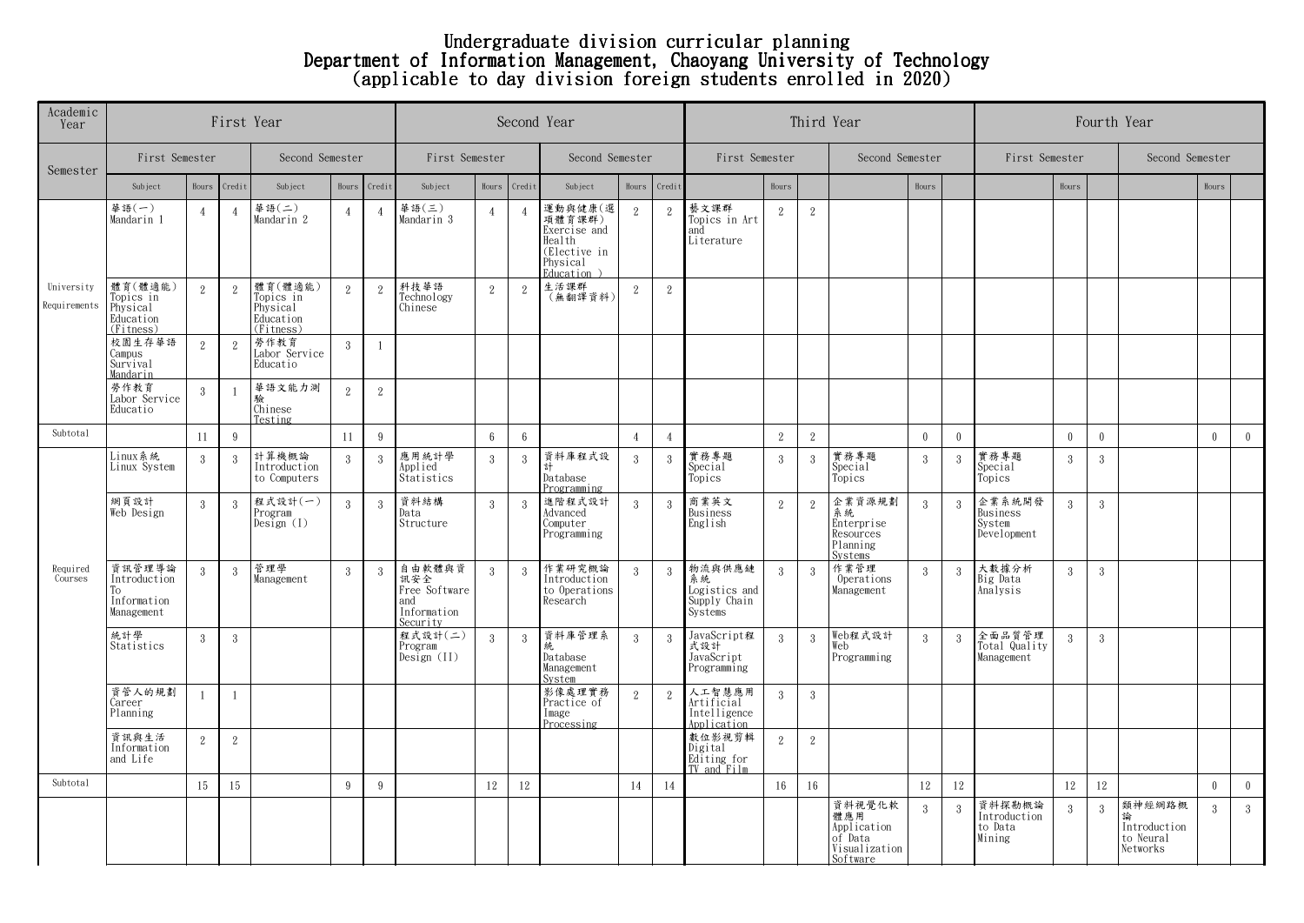## Undergraduate division curricular planning Department of Information Management, Chaoyang University of Technology (applicable to day division foreign students enrolled in 2020)

| Academic<br>Year           | First Year                                                 |                |                |                                                            |                |                |                                                                  | Second Year     |                        | Third Year                                                                             | Fourth Year    |                |                                                          |                |                  |                                                                      |              |               |                                             |               |              |                                                 |          |                |
|----------------------------|------------------------------------------------------------|----------------|----------------|------------------------------------------------------------|----------------|----------------|------------------------------------------------------------------|-----------------|------------------------|----------------------------------------------------------------------------------------|----------------|----------------|----------------------------------------------------------|----------------|------------------|----------------------------------------------------------------------|--------------|---------------|---------------------------------------------|---------------|--------------|-------------------------------------------------|----------|----------------|
| Semester                   | First Semester                                             |                |                | Second Semester                                            |                |                | First Semester                                                   |                 |                        | Second Semester                                                                        |                |                | First Semester                                           |                |                  | Second Semester                                                      |              |               | First Semester                              |               |              | Second Semester                                 |          |                |
|                            | Subject                                                    | Hours          | Credit         | Subject                                                    |                | Hours Credit   | Subject                                                          | Hours           | Credit                 | Subject                                                                                | Hours          | Credit         |                                                          | Hours          |                  |                                                                      | Hours        |               |                                             | Hours         |              |                                                 | Hours    |                |
| University<br>Requirements | 華語 $(-)$<br>Mandarin 1                                     | $\overline{4}$ | $\overline{4}$ | 華語 $($ 二 $)$<br>Mandarin 2                                 | $\overline{4}$ | $\overline{4}$ | 華語(三)<br>Mandarin 3                                              | $\overline{4}$  | $\boldsymbol{\Lambda}$ | 運動與健康(選<br>項體育課群)<br>Exercise and<br>Health<br>(Elective in<br>Physical<br>Education ) | $\sqrt{2}$     | $\overline{2}$ | 藝文課群<br>Topics in Art<br>and<br>Literature               | 2              | $\sqrt{2}$       |                                                                      |              |               |                                             |               |              |                                                 |          |                |
|                            | 體育(體適能)<br>Topics in<br>Physical<br>Education<br>(Fitness) | 2              | $\mathbf{2}$   | 體育(體適能)<br>Topics in<br>Physical<br>Education<br>(Fitness) | 2              | $\overline{2}$ | 科技華語<br>Technology<br>Chinese                                    | $\overline{2}$  | $\overline{2}$         | 生活課群<br>(無翻譯資料)                                                                        | 2              | $\overline{2}$ |                                                          |                |                  |                                                                      |              |               |                                             |               |              |                                                 |          |                |
|                            | 校園生存華語<br>Campus<br>Survival<br>Mandarin                   | 2              | $\mathbf{2}$   | 勞作教育<br>Labor Service<br>Educatio                          | $\mathbf{3}$   | $\mathbf{1}$   |                                                                  |                 |                        |                                                                                        |                |                |                                                          |                |                  |                                                                      |              |               |                                             |               |              |                                                 |          |                |
|                            | 勞作教育<br>Labor Service<br>Educatio                          | 3              | $\overline{1}$ | 華語文能力測<br>驗<br>Chinese<br>Testing                          | 2              | $\sqrt{2}$     |                                                                  |                 |                        |                                                                                        |                |                |                                                          |                |                  |                                                                      |              |               |                                             |               |              |                                                 |          |                |
| Subtotal                   |                                                            | 11             | 9              |                                                            | 11             | 9              |                                                                  | $6\overline{6}$ | $6\phantom{.0}$        |                                                                                        | $\overline{4}$ | $\overline{4}$ |                                                          | 2              | 2                |                                                                      | $\mathbf{0}$ | $\theta$      |                                             | $\theta$      | $\mathbf{0}$ |                                                 | $\theta$ | $\overline{0}$ |
| Required<br>Courses        | Linux 系統<br>Linux System                                   | $\mathbf{3}$   | 3              | 計算機概論<br>Introduction<br>to Computers                      | 3              | $\overline{3}$ | 應用統計學<br>Applied<br>Statistics                                   | 3               | 3                      | 資料庫程式設<br>Database<br>Programming                                                      | $\mathcal{S}$  | 3              | 實務專題<br>Special<br>Topics                                | 3              | $\mathbf{3}$     | 實務專題<br>Special<br>Topics                                            | 3            | 3             | 實務專題<br>Special<br>Topics                   | 3             | 3            |                                                 |          |                |
|                            | 網頁設計<br>Web Design                                         | 3              | 3              | 程式設計(一)<br>Program<br>Design $(I)$                         | 3              | 3              | 資料結構<br>Data<br>Structure                                        | $\mathcal{R}$   | $\mathcal{R}$          | 進階程式設計<br>Advanced<br>Computer<br>Programming                                          | 3              | -3             | 商業英文<br>Business<br>English                              | 2              | $\overline{2}$   | 企業資源規劃<br>系統<br>Enterprise<br>Resources<br>Planning<br>Systems       | 3            | $\mathcal{R}$ | 企業系統開發<br>Business<br>System<br>Development | 3             | 3            |                                                 |          |                |
|                            | 資訊管理導論<br>Introduction<br>Тo<br>Information<br>Management  | -3             | 3              | 管理學<br>Management                                          | 3              | 3              | 自由軟體與資<br>訊安全<br>Free Software<br>and<br>Information<br>Security | 3               | 3                      | 作業研究概論<br>Introduction<br>to Operations<br>Research                                    | $\mathcal{S}$  | 3              | 物流與供應鏈<br>系統<br>Logistics and<br>Supply Chain<br>Systems | $\overline{3}$ | $\mathbf{3}$     | 作業管理<br>Operations<br>Management                                     | $\mathbf{3}$ | 3             | 大數據分析<br>Big Data<br>Analysis               | $\mathcal{R}$ | 3            |                                                 |          |                |
|                            | 統計學<br>Statistics                                          | 3              | 3              |                                                            |                |                | 程式設計(二)<br>Program<br>Design (II)                                | $\mathcal{R}$   | 3                      | 資料庫管理系<br>統<br>Database<br>Management<br>System                                        | $\overline{3}$ | 3              | JavaScript程<br>式設計<br>JavaScript<br>Programming          | $\overline{3}$ | 3                | Web程式設計<br>Web<br>Programming                                        | 3            | 3             | 全面品質管理<br>Total Quality<br>Management       | $\mathcal{S}$ | 3            |                                                 |          |                |
|                            | 資管人的規劃<br>Career<br>Planning                               |                | $\overline{1}$ |                                                            |                |                |                                                                  |                 |                        | 影像處理實務<br>Practice of<br>Image<br>Processing                                           | $\overline{2}$ | $\mathbf{2}$   | 人工智慧應用<br>Artificial<br>Intelligence<br>Application      | $\overline{3}$ | $\boldsymbol{3}$ |                                                                      |              |               |                                             |               |              |                                                 |          |                |
|                            | 資訊與生活<br>Information<br>and Life                           | 2              | 2              |                                                            |                |                |                                                                  |                 |                        |                                                                                        |                |                | 數位影視剪輯<br>Digital<br>Editing for<br>TV and Film          | 2              | 2                |                                                                      |              |               |                                             |               |              |                                                 |          |                |
| Subtotal                   |                                                            | 15             | 15             |                                                            | 9              | 9              |                                                                  | 12              | 12                     |                                                                                        | 14             | 14             |                                                          | 16             | 16               |                                                                      | 12           | 12            |                                             | 12            | 12           |                                                 | $\theta$ | $\overline{0}$ |
|                            |                                                            |                |                |                                                            |                |                |                                                                  |                 |                        |                                                                                        |                |                |                                                          |                |                  | 資料視覺化軟<br>體應用<br>Application<br>of Data<br>Visualization<br>Software | $\mathbf{3}$ | 3             | 首料探勘概論<br>Introduction<br>to Data<br>Mining | 3             | $\sqrt{3}$   | 類神經網路概<br>Introduction<br>to Neural<br>Networks | 3        | 3              |